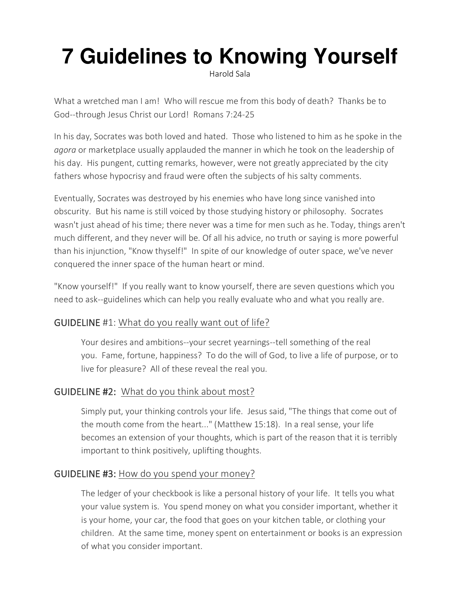# **[7 Guidelines to Knowing Yourself](https://guidelines.us16.list-manage.com/track/click?u=1238c045c41ea895b97156d6e&id=46c8d425cd&e=4e77754a64)**

Harold Sala

What a wretched man I am! Who will rescue me from this body of death? Thanks be to God--through Jesus Christ our Lord! Romans 7:24-25

In his day, Socrates was both loved and hated. Those who listened to him as he spoke in the *agora* or marketplace usually applauded the manner in which he took on the leadership of his day. His pungent, cutting remarks, however, were not greatly appreciated by the city fathers whose hypocrisy and fraud were often the subjects of his salty comments.

Eventually, Socrates was destroyed by his enemies who have long since vanished into obscurity. But his name is still voiced by those studying history or philosophy. Socrates wasn't just ahead of his time; there never was a time for men such as he. Today, things aren't much different, and they never will be. Of all his advice, no truth or saying is more powerful than his injunction, "Know thyself!" In spite of our knowledge of outer space, we've never conquered the inner space of the human heart or mind.

"Know yourself!" If you really want to know yourself, there are seven questions which you need to ask--guidelines which can help you really evaluate who and what you really are.

## GUIDELINE #1: What do you really want out of life?

Your desires and ambitions--your secret yearnings--tell something of the real you. Fame, fortune, happiness? To do the will of God, to live a life of purpose, or to live for pleasure? All of these reveal the real you.

## GUIDELINE #2: What do you think about most?

Simply put, your thinking controls your life. Jesus said, "The things that come out of the mouth come from the heart..." (Matthew 15:18). In a real sense, your life becomes an extension of your thoughts, which is part of the reason that it is terribly important to think positively, uplifting thoughts.

## GUIDELINE #3: How do you spend your money?

The ledger of your checkbook is like a personal history of your life. It tells you what your value system is. You spend money on what you consider important, whether it is your home, your car, the food that goes on your kitchen table, or clothing your children. At the same time, money spent on entertainment or books is an expression of what you consider important.